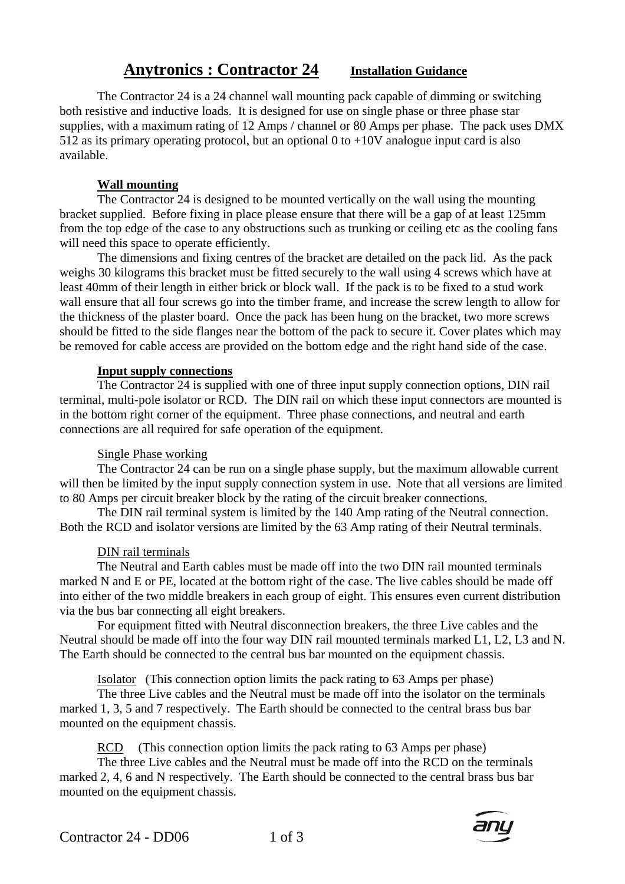# **Anytronics : Contractor 24 Installation Guidance**

 The Contractor 24 is a 24 channel wall mounting pack capable of dimming or switching both resistive and inductive loads. It is designed for use on single phase or three phase star supplies, with a maximum rating of 12 Amps / channel or 80 Amps per phase. The pack uses DMX 512 as its primary operating protocol, but an optional 0 to  $+10V$  analogue input card is also available.

## **Wall mounting**

 The Contractor 24 is designed to be mounted vertically on the wall using the mounting bracket supplied. Before fixing in place please ensure that there will be a gap of at least 125mm from the top edge of the case to any obstructions such as trunking or ceiling etc as the cooling fans will need this space to operate efficiently.

 The dimensions and fixing centres of the bracket are detailed on the pack lid. As the pack weighs 30 kilograms this bracket must be fitted securely to the wall using 4 screws which have at least 40mm of their length in either brick or block wall. If the pack is to be fixed to a stud work wall ensure that all four screws go into the timber frame, and increase the screw length to allow for the thickness of the plaster board. Once the pack has been hung on the bracket, two more screws should be fitted to the side flanges near the bottom of the pack to secure it. Cover plates which may be removed for cable access are provided on the bottom edge and the right hand side of the case.

## **Input supply connections**

 The Contractor 24 is supplied with one of three input supply connection options, DIN rail terminal, multi-pole isolator or RCD. The DIN rail on which these input connectors are mounted is in the bottom right corner of the equipment. Three phase connections, and neutral and earth connections are all required for safe operation of the equipment.

# Single Phase working

 The Contractor 24 can be run on a single phase supply, but the maximum allowable current will then be limited by the input supply connection system in use. Note that all versions are limited to 80 Amps per circuit breaker block by the rating of the circuit breaker connections.

 The DIN rail terminal system is limited by the 140 Amp rating of the Neutral connection. Both the RCD and isolator versions are limited by the 63 Amp rating of their Neutral terminals.

#### DIN rail terminals

The Neutral and Earth cables must be made off into the two DIN rail mounted terminals marked N and E or PE, located at the bottom right of the case. The live cables should be made off into either of the two middle breakers in each group of eight. This ensures even current distribution via the bus bar connecting all eight breakers.

For equipment fitted with Neutral disconnection breakers, the three Live cables and the Neutral should be made off into the four way DIN rail mounted terminals marked L1, L2, L3 and N. The Earth should be connected to the central bus bar mounted on the equipment chassis.

Isolator (This connection option limits the pack rating to 63 Amps per phase)

 The three Live cables and the Neutral must be made off into the isolator on the terminals marked 1, 3, 5 and 7 respectively. The Earth should be connected to the central brass bus bar mounted on the equipment chassis.

RCD (This connection option limits the pack rating to 63 Amps per phase)

 The three Live cables and the Neutral must be made off into the RCD on the terminals marked 2, 4, 6 and N respectively. The Earth should be connected to the central brass bus bar mounted on the equipment chassis.

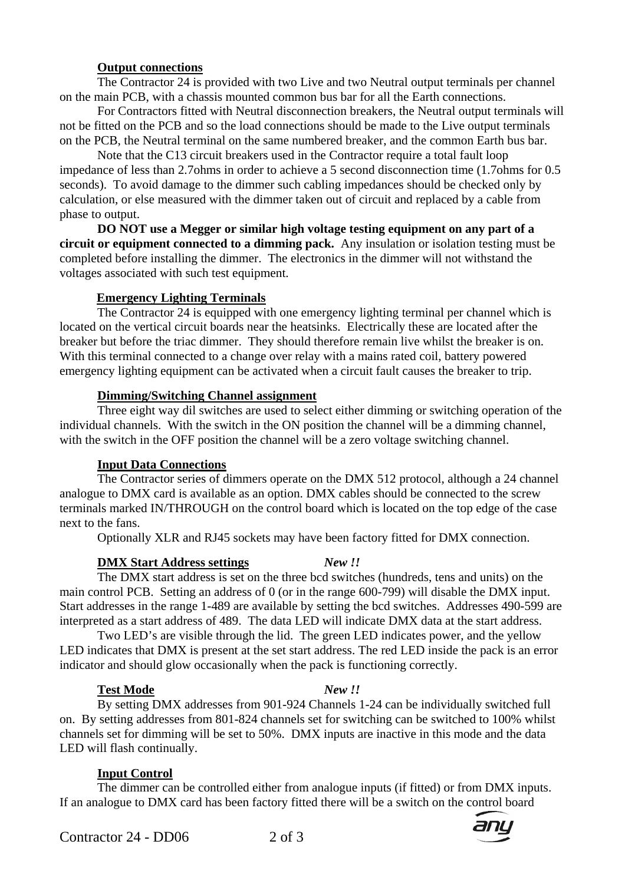## **Output connections**

 The Contractor 24 is provided with two Live and two Neutral output terminals per channel on the main PCB, with a chassis mounted common bus bar for all the Earth connections.

 For Contractors fitted with Neutral disconnection breakers, the Neutral output terminals will not be fitted on the PCB and so the load connections should be made to the Live output terminals on the PCB, the Neutral terminal on the same numbered breaker, and the common Earth bus bar.

 Note that the C13 circuit breakers used in the Contractor require a total fault loop impedance of less than 2.7ohms in order to achieve a 5 second disconnection time (1.7ohms for 0.5 seconds). To avoid damage to the dimmer such cabling impedances should be checked only by calculation, or else measured with the dimmer taken out of circuit and replaced by a cable from phase to output.

**DO NOT use a Megger or similar high voltage testing equipment on any part of a circuit or equipment connected to a dimming pack.** Any insulation or isolation testing must be completed before installing the dimmer. The electronics in the dimmer will not withstand the voltages associated with such test equipment.

#### **Emergency Lighting Terminals**

 The Contractor 24 is equipped with one emergency lighting terminal per channel which is located on the vertical circuit boards near the heatsinks. Electrically these are located after the breaker but before the triac dimmer. They should therefore remain live whilst the breaker is on. With this terminal connected to a change over relay with a mains rated coil, battery powered emergency lighting equipment can be activated when a circuit fault causes the breaker to trip.

#### **Dimming/Switching Channel assignment**

 Three eight way dil switches are used to select either dimming or switching operation of the individual channels. With the switch in the ON position the channel will be a dimming channel, with the switch in the OFF position the channel will be a zero voltage switching channel.

#### **Input Data Connections**

 The Contractor series of dimmers operate on the DMX 512 protocol, although a 24 channel analogue to DMX card is available as an option. DMX cables should be connected to the screw terminals marked IN/THROUGH on the control board which is located on the top edge of the case next to the fans.

Optionally XLR and RJ45 sockets may have been factory fitted for DMX connection.

#### **DMX Start Address settings** *New !!*

 The DMX start address is set on the three bcd switches (hundreds, tens and units) on the main control PCB. Setting an address of 0 (or in the range 600-799) will disable the DMX input. Start addresses in the range 1-489 are available by setting the bcd switches. Addresses 490-599 are interpreted as a start address of 489. The data LED will indicate DMX data at the start address.

 Two LED's are visible through the lid. The green LED indicates power, and the yellow LED indicates that DMX is present at the set start address. The red LED inside the pack is an error indicator and should glow occasionally when the pack is functioning correctly.

#### **Test Mode** *New !!*

 By setting DMX addresses from 901-924 Channels 1-24 can be individually switched full on. By setting addresses from 801-824 channels set for switching can be switched to 100% whilst channels set for dimming will be set to 50%. DMX inputs are inactive in this mode and the data LED will flash continually.

# **Input Control**

 The dimmer can be controlled either from analogue inputs (if fitted) or from DMX inputs. If an analogue to DMX card has been factory fitted there will be a switch on the control board